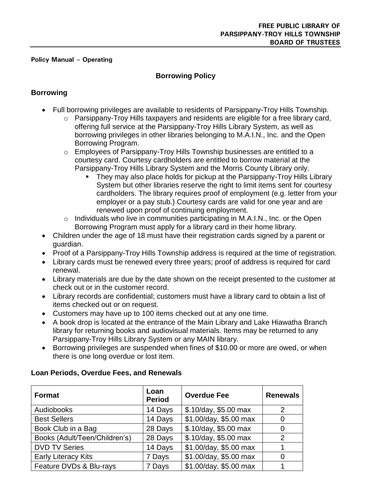# **Borrowing Policy**

# **Borrowing**

- Full borrowing privileges are available to residents of Parsippany-Troy Hills Township.
	- o Parsippany-Troy Hills taxpayers and residents are eligible for a free library card, offering full service at the Parsippany-Troy Hills Library System, as well as borrowing privileges in other libraries belonging to M.A.I.N., Inc. and the Open Borrowing Program.
	- o Employees of Parsippany-Troy Hills Township businesses are entitled to a courtesy card. Courtesy cardholders are entitled to borrow material at the Parsippany-Troy Hills Library System and the Morris County Library only.
		- They may also place holds for pickup at the Parsippany-Troy Hills Library System but other libraries reserve the right to limit items sent for courtesy cardholders. The library requires proof of employment (e.g. letter from your employer or a pay stub.) Courtesy cards are valid for one year and are renewed upon proof of continuing employment.
	- $\circ$  Individuals who live in communities participating in M.A.I.N., Inc. or the Open Borrowing Program must apply for a library card in their home library.
- Children under the age of 18 must have their registration cards signed by a parent or guardian.
- Proof of a Parsippany-Troy Hills Township address is required at the time of registration.
- Library cards must be renewed every three years; proof of address is required for card renewal.
- Library materials are due by the date shown on the receipt presented to the customer at check out or in the customer record.
- Library records are confidential; customers must have a library card to obtain a list of items checked out or on request.
- Customers may have up to 100 items checked out at any one time.
- A book drop is located at the entrance of the Main Library and Lake Hiawatha Branch library for returning books and audiovisual materials. Items may be returned to any Parsippany-Troy Hills Library System or any MAIN library.
- Borrowing privileges are suspended when fines of \$10.00 or more are owed, or when there is one long overdue or lost item.

| <b>Format</b>                 | Loan<br><b>Period</b> | <b>Overdue Fee</b>     | <b>Renewals</b> |
|-------------------------------|-----------------------|------------------------|-----------------|
| Audiobooks                    | 14 Days               | \$.10/day, \$5.00 max  | 2               |
| <b>Best Sellers</b>           | 14 Days               | \$1.00/day, \$5.00 max |                 |
| Book Club in a Bag            | 28 Days               | \$.10/day, \$5.00 max  |                 |
| Books (Adult/Teen/Children's) | 28 Days               | \$.10/day, \$5.00 max  | $\overline{2}$  |
| <b>DVD TV Series</b>          | 14 Days               | \$1.00/day, \$5.00 max |                 |
| <b>Early Literacy Kits</b>    | 7 Days                | \$1.00/day, \$5.00 max |                 |
| Feature DVDs & Blu-rays       | 7 Days                | \$1.00/day, \$5.00 max |                 |

# **Loan Periods, Overdue Fees, and Renewals**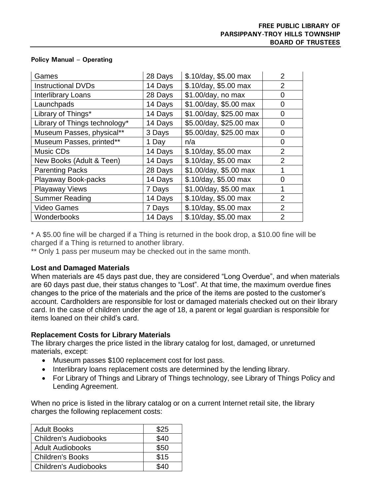| Games                         | 28 Days | \$.10/day, \$5.00 max   | 2              |
|-------------------------------|---------|-------------------------|----------------|
| <b>Instructional DVDs</b>     | 14 Days | \$.10/day, \$5.00 max   | 2              |
| <b>Interlibrary Loans</b>     | 28 Days | \$1.00/day, no max      | Ω              |
| Launchpads                    | 14 Days | \$1.00/day, \$5.00 max  | 0              |
| Library of Things*            | 14 Days | \$1.00/day, \$25.00 max | 0              |
| Library of Things technology* | 14 Days | \$5.00/day, \$25.00 max | 0              |
| Museum Passes, physical**     | 3 Days  | \$5.00/day, \$25.00 max | 0              |
| Museum Passes, printed**      | 1 Day   | n/a                     | 0              |
| <b>Music CDs</b>              | 14 Days | $$.10$ /day, \$5.00 max | $\overline{2}$ |
| New Books (Adult & Teen)      | 14 Days | $$.10$ /day, \$5.00 max | $\overline{2}$ |
| <b>Parenting Packs</b>        | 28 Days | \$1.00/day, \$5.00 max  |                |
| Playaway Book-packs           | 14 Days | $$.10$ /day, \$5.00 max | O              |
| <b>Playaway Views</b>         | 7 Days  | \$1.00/day, \$5.00 max  |                |
| <b>Summer Reading</b>         | 14 Days | \$.10/day, \$5.00 max   | $\overline{2}$ |
| <b>Video Games</b>            | 7 Days  | \$.10/day, \$5.00 max   | 2              |
| Wonderbooks                   | 14 Days | $$.10$ /day, \$5.00 max | $\overline{2}$ |

\* A \$5.00 fine will be charged if a Thing is returned in the book drop, a \$10.00 fine will be charged if a Thing is returned to another library.

\*\* Only 1 pass per museum may be checked out in the same month.

# **Lost and Damaged Materials**

When materials are 45 days past due, they are considered "Long Overdue", and when materials are 60 days past due, their status changes to "Lost". At that time, the maximum overdue fines changes to the price of the materials and the price of the items are posted to the customer's account. Cardholders are responsible for lost or damaged materials checked out on their library card. In the case of children under the age of 18, a parent or legal guardian is responsible for items loaned on their child's card.

# **Replacement Costs for Library Materials**

The library charges the price listed in the library catalog for lost, damaged, or unreturned materials, except:

- Museum passes \$100 replacement cost for lost pass.
- Interlibrary loans replacement costs are determined by the lending library.
- For Library of Things and Library of Things technology, see Library of Things Policy and Lending Agreement.

When no price is listed in the library catalog or on a current Internet retail site, the library charges the following replacement costs:

| <b>Adult Books</b>           | \$25 |
|------------------------------|------|
| <b>Children's Audiobooks</b> | \$40 |
| <b>Adult Audiobooks</b>      | \$50 |
| <b>Children's Books</b>      | \$15 |
| <b>Children's Audiobooks</b> | ደ40  |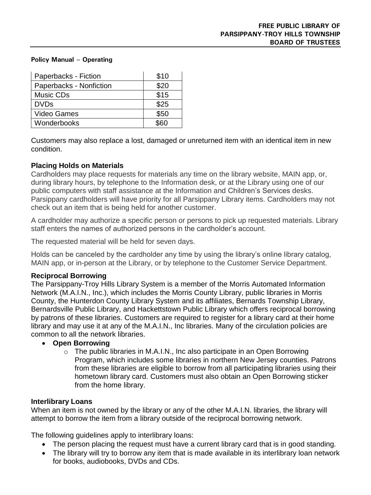| Paperbacks - Fiction    | \$10 |
|-------------------------|------|
| Paperbacks - Nonfiction | \$20 |
| Music CDs               | \$15 |
| <b>DVDs</b>             | \$25 |
| <b>Video Games</b>      | \$50 |
| Wonderbooks             | \$60 |

Customers may also replace a lost, damaged or unreturned item with an identical item in new condition.

## **Placing Holds on Materials**

Cardholders may place requests for materials any time on the library website, MAIN app, or, during library hours, by telephone to the Information desk, or at the Library using one of our public computers with staff assistance at the Information and Children's Services desks. Parsippany cardholders will have priority for all Parsippany Library items. Cardholders may not check out an item that is being held for another customer.

A cardholder may authorize a specific person or persons to pick up requested materials. Library staff enters the names of authorized persons in the cardholder's account.

The requested material will be held for seven days.

Holds can be canceled by the cardholder any time by using the library's online library catalog, MAIN app, or in-person at the Library, or by telephone to the Customer Service Department.

### **Reciprocal Borrowing**

The Parsippany-Troy Hills Library System is a member of the Morris Automated Information Network (M.A.I.N., Inc.), which includes the Morris County Library, public libraries in Morris County, the Hunterdon County Library System and its affiliates, Bernards Township Library, Bernardsville Public Library, and Hackettstown Public Library which offers reciprocal borrowing by patrons of these libraries. Customers are required to register for a library card at their home library and may use it at any of the M.A.I.N., Inc libraries. Many of the circulation policies are common to all the network libraries.

# • **Open Borrowing**

o The public libraries in M.A.I.N., Inc also participate in an Open Borrowing Program, which includes some libraries in northern New Jersey counties. Patrons from these libraries are eligible to borrow from all participating libraries using their hometown library card. Customers must also obtain an Open Borrowing sticker from the home library.

### **Interlibrary Loans**

When an item is not owned by the library or any of the other M.A.I.N. libraries, the library will attempt to borrow the item from a library outside of the reciprocal borrowing network.

The following guidelines apply to interlibrary loans:

- The person placing the request must have a current library card that is in good standing.
- The library will try to borrow any item that is made available in its interlibrary loan network for books, audiobooks, DVDs and CDs.